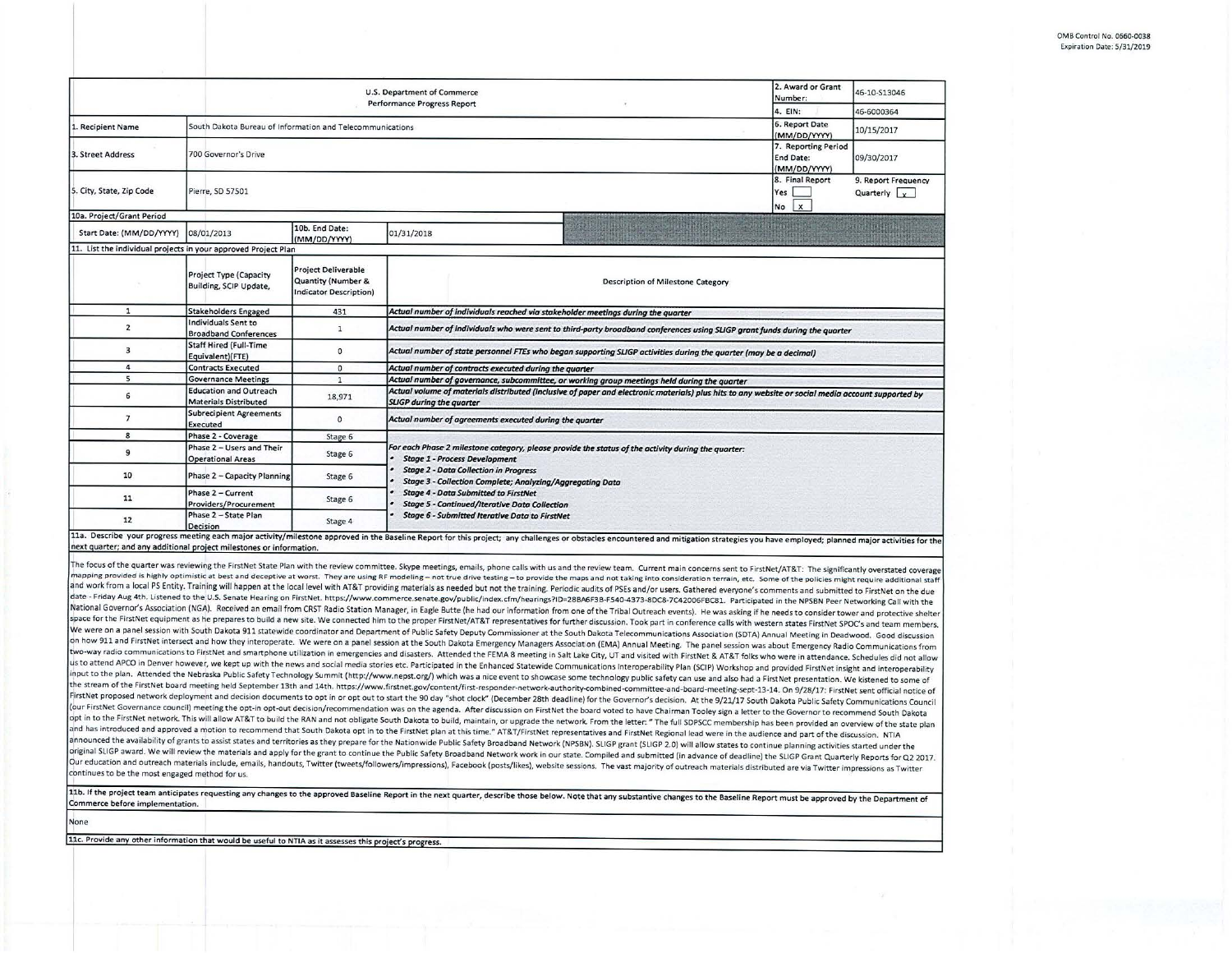| South Dakota Bureau of Information and Telecommunications<br>700 Governor's Drive<br>Pierre, SD 57501<br>10b. End Date:<br>(MM/DD/YYYY)<br>11. List the individual projects in your approved Project Plan<br><b>Project Deliverable</b><br>Project Type (Capacity<br>Quantity (Number &<br>Building, SCIP Update,<br><b>Indicator Description)</b><br><b>Stakeholders Engaged</b><br>431<br>Individuals Sent to<br>$\mathbf{1}$<br><b>Broadband Conferences</b> | Performance Progress Report<br>01/31/2018<br>Description of Milestone Category<br>Actual number of individuals reached via stakeholder meetings during the quarter                    | 4. EIN:<br>6. Report Date<br>(MM/DD/YYYY)<br>7. Reporting Period<br>End Date:<br>(MM/DD/YYYY)<br>8. Final Report<br>Yes<br>No X | 46-6000364<br>10/15/2017<br>09/30/2017<br>9. Report Frequency<br>Quarterly $x$                                                                                                                                                                                                                                                                                                                                                                                                                                                                                                                                                                                                                     |  |  |  |  |
|-----------------------------------------------------------------------------------------------------------------------------------------------------------------------------------------------------------------------------------------------------------------------------------------------------------------------------------------------------------------------------------------------------------------------------------------------------------------|---------------------------------------------------------------------------------------------------------------------------------------------------------------------------------------|---------------------------------------------------------------------------------------------------------------------------------|----------------------------------------------------------------------------------------------------------------------------------------------------------------------------------------------------------------------------------------------------------------------------------------------------------------------------------------------------------------------------------------------------------------------------------------------------------------------------------------------------------------------------------------------------------------------------------------------------------------------------------------------------------------------------------------------------|--|--|--|--|
|                                                                                                                                                                                                                                                                                                                                                                                                                                                                 |                                                                                                                                                                                       |                                                                                                                                 |                                                                                                                                                                                                                                                                                                                                                                                                                                                                                                                                                                                                                                                                                                    |  |  |  |  |
|                                                                                                                                                                                                                                                                                                                                                                                                                                                                 |                                                                                                                                                                                       |                                                                                                                                 |                                                                                                                                                                                                                                                                                                                                                                                                                                                                                                                                                                                                                                                                                                    |  |  |  |  |
|                                                                                                                                                                                                                                                                                                                                                                                                                                                                 |                                                                                                                                                                                       |                                                                                                                                 |                                                                                                                                                                                                                                                                                                                                                                                                                                                                                                                                                                                                                                                                                                    |  |  |  |  |
|                                                                                                                                                                                                                                                                                                                                                                                                                                                                 |                                                                                                                                                                                       |                                                                                                                                 |                                                                                                                                                                                                                                                                                                                                                                                                                                                                                                                                                                                                                                                                                                    |  |  |  |  |
|                                                                                                                                                                                                                                                                                                                                                                                                                                                                 |                                                                                                                                                                                       |                                                                                                                                 |                                                                                                                                                                                                                                                                                                                                                                                                                                                                                                                                                                                                                                                                                                    |  |  |  |  |
|                                                                                                                                                                                                                                                                                                                                                                                                                                                                 |                                                                                                                                                                                       |                                                                                                                                 |                                                                                                                                                                                                                                                                                                                                                                                                                                                                                                                                                                                                                                                                                                    |  |  |  |  |
|                                                                                                                                                                                                                                                                                                                                                                                                                                                                 |                                                                                                                                                                                       |                                                                                                                                 |                                                                                                                                                                                                                                                                                                                                                                                                                                                                                                                                                                                                                                                                                                    |  |  |  |  |
|                                                                                                                                                                                                                                                                                                                                                                                                                                                                 |                                                                                                                                                                                       |                                                                                                                                 |                                                                                                                                                                                                                                                                                                                                                                                                                                                                                                                                                                                                                                                                                                    |  |  |  |  |
|                                                                                                                                                                                                                                                                                                                                                                                                                                                                 |                                                                                                                                                                                       |                                                                                                                                 |                                                                                                                                                                                                                                                                                                                                                                                                                                                                                                                                                                                                                                                                                                    |  |  |  |  |
|                                                                                                                                                                                                                                                                                                                                                                                                                                                                 | Actual number of individuals who were sent to third-party broadband conferences using SLIGP grant funds during the quarter                                                            |                                                                                                                                 |                                                                                                                                                                                                                                                                                                                                                                                                                                                                                                                                                                                                                                                                                                    |  |  |  |  |
| <b>Staff Hired (Full-Time</b><br>$\circ$<br>Equivalent)(FTE)                                                                                                                                                                                                                                                                                                                                                                                                    | Actual number of state personnel FTEs who began supporting SLIGP activities during the quarter (may be a decimal)                                                                     |                                                                                                                                 |                                                                                                                                                                                                                                                                                                                                                                                                                                                                                                                                                                                                                                                                                                    |  |  |  |  |
| <b>Contracts Executed</b><br>$\circ$                                                                                                                                                                                                                                                                                                                                                                                                                            | Actual number of contracts executed during the quarter                                                                                                                                |                                                                                                                                 |                                                                                                                                                                                                                                                                                                                                                                                                                                                                                                                                                                                                                                                                                                    |  |  |  |  |
| $\mathbf{1}$<br><b>Governance Meetings</b>                                                                                                                                                                                                                                                                                                                                                                                                                      | Actual number of governance, subcommittee, or working group meetings held during the quarter                                                                                          |                                                                                                                                 |                                                                                                                                                                                                                                                                                                                                                                                                                                                                                                                                                                                                                                                                                                    |  |  |  |  |
| <b>Education and Outreach</b><br>18,971<br><b>Materials Distributed</b>                                                                                                                                                                                                                                                                                                                                                                                         | Actual volume of materials distributed (inclusive of paper and electronic materials) plus hits to any website or social media account supported by<br><b>SLIGP during the quarter</b> |                                                                                                                                 |                                                                                                                                                                                                                                                                                                                                                                                                                                                                                                                                                                                                                                                                                                    |  |  |  |  |
| <b>Subrecipient Agreements</b><br>$\circ$                                                                                                                                                                                                                                                                                                                                                                                                                       | Actual number of agreements executed during the quarter                                                                                                                               |                                                                                                                                 |                                                                                                                                                                                                                                                                                                                                                                                                                                                                                                                                                                                                                                                                                                    |  |  |  |  |
| Phase 2 - Coverage<br>Stage 6                                                                                                                                                                                                                                                                                                                                                                                                                                   |                                                                                                                                                                                       |                                                                                                                                 |                                                                                                                                                                                                                                                                                                                                                                                                                                                                                                                                                                                                                                                                                                    |  |  |  |  |
| Phase 2 - Users and Their<br>Stage 6<br><b>Operational Areas</b>                                                                                                                                                                                                                                                                                                                                                                                                | For each Phase 2 milestone category, please provide the status of the activity during the quarter:<br><b>Stage 1 - Process Development</b>                                            |                                                                                                                                 |                                                                                                                                                                                                                                                                                                                                                                                                                                                                                                                                                                                                                                                                                                    |  |  |  |  |
| Phase 2 - Capacity Planning<br>Stage 6                                                                                                                                                                                                                                                                                                                                                                                                                          | <b>Stage 2 - Data Collection in Progress</b><br><b>Stage 3 - Collection Complete; Analyzing/Aggregating Data</b>                                                                      |                                                                                                                                 |                                                                                                                                                                                                                                                                                                                                                                                                                                                                                                                                                                                                                                                                                                    |  |  |  |  |
| Phase 2 - Current<br>Stage 6<br>Providers/Procurement                                                                                                                                                                                                                                                                                                                                                                                                           | <b>Stage 4 - Data Submitted to FirstNet</b><br><b>Stage 5 - Continued/Iterative Data Collection</b><br><b>Stage 6 - Submitted Iterative Data to FirstNet</b>                          |                                                                                                                                 |                                                                                                                                                                                                                                                                                                                                                                                                                                                                                                                                                                                                                                                                                                    |  |  |  |  |
| Phase 2 - State Plan<br>Stage 4                                                                                                                                                                                                                                                                                                                                                                                                                                 |                                                                                                                                                                                       |                                                                                                                                 |                                                                                                                                                                                                                                                                                                                                                                                                                                                                                                                                                                                                                                                                                                    |  |  |  |  |
| next quarter; and any additional project milestones or information.                                                                                                                                                                                                                                                                                                                                                                                             |                                                                                                                                                                                       |                                                                                                                                 |                                                                                                                                                                                                                                                                                                                                                                                                                                                                                                                                                                                                                                                                                                    |  |  |  |  |
| and work from a local PS Entity. Training will happen at the local level with AT&T providing materials as needed but not the training. Periodic audits of PSEs and/or users. Gathered everyone's comments and submitted to Fir                                                                                                                                                                                                                                  |                                                                                                                                                                                       |                                                                                                                                 | 11a. Describe your progress meeting each major activity/milestone approved in the Baseline Report for this project; any challenges or obstacles encountered and mitigation strategies you have employed; planned major activit<br>The focus of the quarter was reviewing the FirstNet State Plan with the review committee. Skype meetings, emails, phone calls with us and the review team. Current main concerns sent to FirstNet/AT&T: The significantly over<br>mapping provided is highly optimistic at best and deceptive at worst. They are using RF modeling – not true drive testing – to provide the maps and not taking into consideration terrain, etc. Some of the policies might req |  |  |  |  |

ned to the U.S. Senate Hearing on FirstNet. https://www.commerce.senate.gov/public/index.cfm/hearings?ID=28BA6F3B-F540-4373-8DC8-7C42006FBC81. Participated in the NPSBN Peer Networking Call with the National Governor's Association (NGA). Received an email from CRST Radio Station Manager, in Eagle Butte (he had our information from one of the Tribal Outreach events). He was asking if he needs to consider tower and prot space for the FirstNet equipment as he prepares to build a new site. We connected him to the proper FirstNet/AT&T representatives for further discussion. Took part in conference calls with western states FirstNet SPOC's an We were on a panel session with South Dakota 911 statewide coordinator and Department of Public Safety Deputy Commissioner at the South Dakota Telecommunications Association (SDTA) Annual Meeting in Deadwood. Good discussi on how 911 and FirstNet intersect and how they interoperate. We were on a panel session at the South Dakota Emergency Managers Association (EMA) Annual Meeting. The panel session was about Emergency Radio Communications fr two-way radio communications to FirstNet and smartphone utilization in emergencies and disasters. Attended the FEMA 8 meeting in Salt Lake City, UT and visited with FirstNet & AT&T folks who were in attendance. Schedules d us to attend APCO in Denver however, we kept up with the news and social media stories etc. Participated in the Enhanced Statewide Communications Interoperability Plan (SCIP) Workshop and provided FirstNet insight and inte input to the plan. Attended the Nebraska Public Safety Technology Summit (http://www.nepst.org/) which was a nice event to showcase some technology public safety can use and also had a FirstNet presentation. We kistened to the stream of the FirstNet board meeting held September 13th and 14th. https://www.firstnet.gov/content/first-responder-network-authority-combined-committee-and-board-meeting-sept-13-14. On 9/28/17: FirstNet sent official FirstNet proposed network deployment and decision documents to opt in or opt out to start the 90 day "shot clock" (December 28th deadline) for the Governor's decision. At the 9/21/17 South Dakota Public Safety Communicatio (our FirstNet Governance council) meeting the opt-in opt-out decision/recommendation was on the agenda. After discussion on FirstNet the board voted to have Chairman Tooley sign a letter to the Governor to recommend South opt in to the FirstNet network. This will allow AT&T to build the RAN and not obligate South Dakota to build, maintain, or upgrade the network. From the letter: " The full SDPSCC membership has been provided an overview of and has introduced and approved a motion to recommend that South Dakota opt in to the FirstNet plan at this time." AT&T/FirstNet representatives and FirstNet Regional lead were in the audience and part of the discussion. N announced the availability of grants to assist states and territories as they prepare for the Nationwide Public Safety Broadband Network (NPSBN). SLIGP grant (SLIGP 2.0) will allow states to continue planning activities st original SLIGP award. We will review the materials and apply for the grant to continue the Public Safety Broadband Network work in our state. Compiled and submitted (in advance of deadline) the SLIGP Grant Quarterly Report Our education and outreach materials include, emails, handouts, Twitter (tweets/followers/impressions), Facebook (posts/likes), website sessions. The vast majority of outreach materials distributed are via Twitter impressi continues to be the most engaged method for us.

11b. If the project team anticipates requesting any changes to the approved Baseline Report in the next quarter, describe those below. Note that any substantive changes to the Baseline Report must be approved by the Depart Commerce before implementation.

None

11c. Provide any other information that would be useful to NTIA as it assesses this project's progress.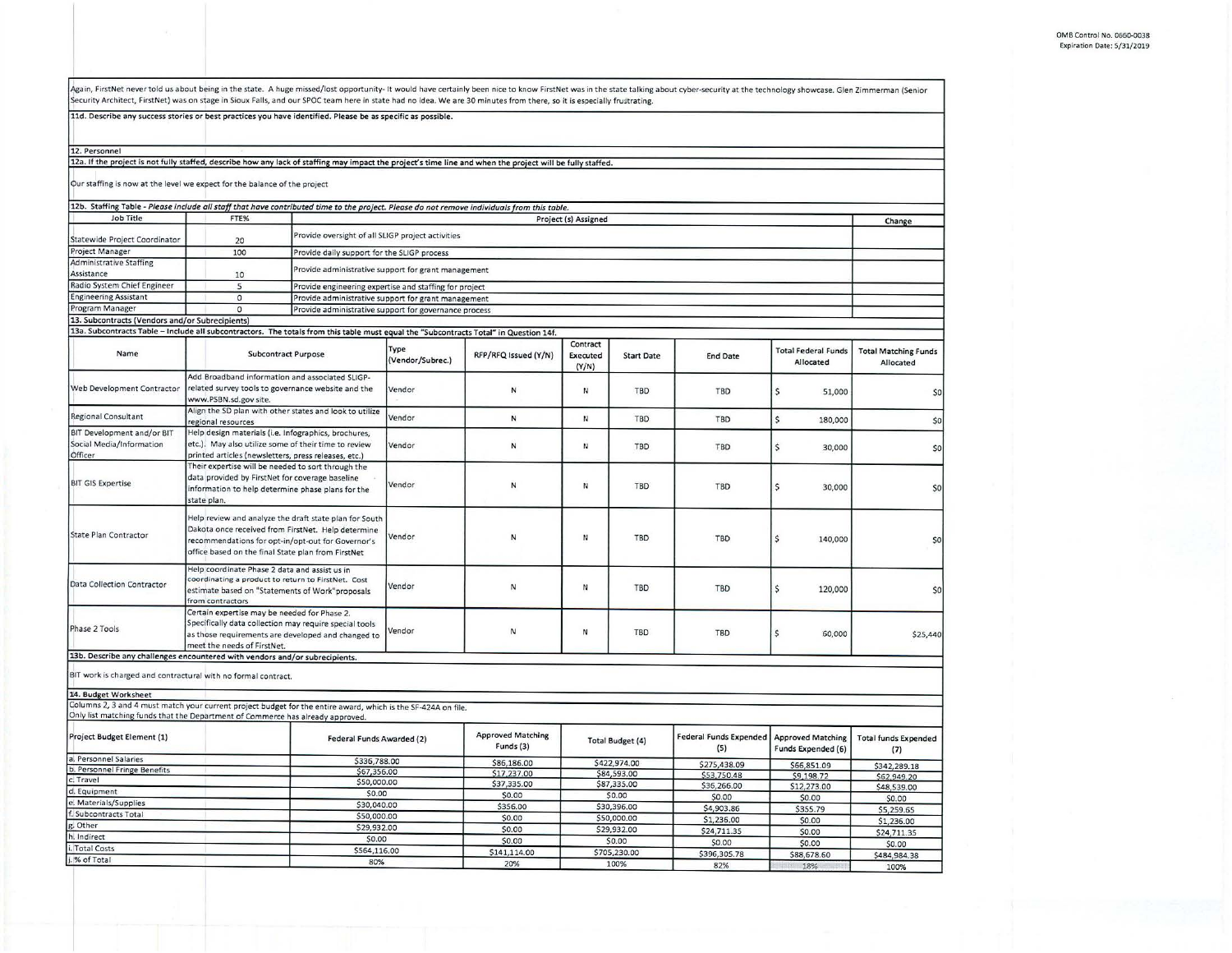Again, FirstNet never told us about being in the state. A huge missed/lost opportunity- It would have certainly been nice to know FirstNet was in the state talking about cyber-security at the technology showcase. Glen Zimm

11d. Describe any success stories or best practices you have identified. Please be as specific as possible.

12. Personnel

12a. If the project is not fully staffed, describe how any lack of staffing may impact the project's time line and when the project will be fully staffed.

Our staffing is now at the level we expect for the balance of the project

| 12b. Staffing Table - Please include all staff that have contributed time to the project. Please do not remove individuals from this table.                                                     |                                                                                                                                                                            |                                                                                                               |                          |                                       |                               |                         |                                      |                                                |                                          |
|-------------------------------------------------------------------------------------------------------------------------------------------------------------------------------------------------|----------------------------------------------------------------------------------------------------------------------------------------------------------------------------|---------------------------------------------------------------------------------------------------------------|--------------------------|---------------------------------------|-------------------------------|-------------------------|--------------------------------------|------------------------------------------------|------------------------------------------|
| <b>Job Title</b>                                                                                                                                                                                | FTE%                                                                                                                                                                       |                                                                                                               |                          |                                       | Project (s) Assigned          |                         |                                      |                                                |                                          |
|                                                                                                                                                                                                 |                                                                                                                                                                            |                                                                                                               |                          |                                       |                               |                         |                                      |                                                | Change                                   |
| Statewide Project Coordinator                                                                                                                                                                   | 20                                                                                                                                                                         | Provide oversight of all SLIGP project activities                                                             |                          |                                       |                               |                         |                                      |                                                |                                          |
| Project Manager                                                                                                                                                                                 | 100                                                                                                                                                                        | Provide daily support for the SLIGP process                                                                   |                          |                                       |                               |                         |                                      |                                                |                                          |
| <b>Administrative Staffing</b>                                                                                                                                                                  |                                                                                                                                                                            |                                                                                                               |                          |                                       |                               |                         |                                      |                                                |                                          |
| Assistance                                                                                                                                                                                      | 10                                                                                                                                                                         | Provide administrative support for grant management                                                           |                          |                                       |                               |                         |                                      |                                                |                                          |
| Radio System Chief Engineer                                                                                                                                                                     | 5                                                                                                                                                                          |                                                                                                               |                          |                                       |                               |                         |                                      |                                                |                                          |
| <b>Engineering Assistant</b>                                                                                                                                                                    | $\circ$                                                                                                                                                                    | Provide engineering expertise and staffing for project<br>Provide administrative support for grant management |                          |                                       |                               |                         |                                      |                                                |                                          |
| Program Manager                                                                                                                                                                                 | $\overline{0}$                                                                                                                                                             | Provide administrative support for governance process                                                         |                          |                                       |                               |                         |                                      |                                                |                                          |
| 13. Subcontracts (Vendors and/or Subrecipients)                                                                                                                                                 |                                                                                                                                                                            |                                                                                                               |                          |                                       |                               |                         |                                      |                                                |                                          |
| 13a. Subcontracts Table - Include all subcontractors. The totals from this table must equal the "Subcontracts Total" in Question 14f.                                                           |                                                                                                                                                                            |                                                                                                               |                          |                                       |                               |                         |                                      |                                                |                                          |
| Name                                                                                                                                                                                            | <b>Subcontract Purpose</b>                                                                                                                                                 |                                                                                                               | Type<br>(Vendor/Subrec.) | RFP/RFQ Issued (Y/N)                  | Contract<br>Executed<br>(Y/N) | <b>Start Date</b>       | <b>End Date</b>                      | <b>Total Federal Funds</b><br>Allocated        | <b>Total Matching Funds</b><br>Allocated |
|                                                                                                                                                                                                 |                                                                                                                                                                            | Add Broadband information and associated SLIGP-                                                               |                          |                                       |                               |                         |                                      |                                                |                                          |
| Web Development Contractor                                                                                                                                                                      | related survey tools to governance website and the<br>www.PSBN.sd.gov site.                                                                                                |                                                                                                               | Vendor                   | N                                     | N                             | <b>TBD</b>              | TBD                                  | $\mathsf{S}$<br>51,000                         | \$0                                      |
| <b>Regional Consultant</b>                                                                                                                                                                      | Align the SD plan with other states and look to utilize<br>regional resources                                                                                              |                                                                                                               | Vendor                   | N                                     | И                             | TBD                     | TBD                                  | $\mathsf{S}$<br>180,000                        | 50                                       |
| BIT Development and/or BIT                                                                                                                                                                      | Help design materials (i.e. Infographics, brochures,                                                                                                                       |                                                                                                               |                          |                                       |                               |                         |                                      |                                                |                                          |
| Social Media/Information                                                                                                                                                                        | etc.). May also utilize some of their time to review                                                                                                                       |                                                                                                               | Vendor                   | ${\sf N}$                             | И                             | <b>TBD</b>              | TBD                                  | $\mathsf S$<br>30,000                          | 50                                       |
| Officer                                                                                                                                                                                         | printed articles (newsletters, press releases, etc.)                                                                                                                       |                                                                                                               |                          |                                       |                               |                         |                                      |                                                |                                          |
|                                                                                                                                                                                                 | Their expertise will be needed to sort through the                                                                                                                         |                                                                                                               |                          |                                       |                               |                         |                                      |                                                |                                          |
| <b>BIT GIS Expertise</b>                                                                                                                                                                        | data provided by FirstNet for coverage baseline                                                                                                                            |                                                                                                               |                          |                                       |                               |                         |                                      |                                                |                                          |
|                                                                                                                                                                                                 | information to help determine phase plans for the                                                                                                                          |                                                                                                               | Vendor                   | N                                     | N                             | TBD                     | TBD                                  | Ś<br>30,000                                    | sol                                      |
|                                                                                                                                                                                                 | state plan.                                                                                                                                                                |                                                                                                               |                          |                                       |                               |                         |                                      |                                                |                                          |
| <b>State Plan Contractor</b>                                                                                                                                                                    | recommendations for opt-in/opt-out for Governor's<br>office based on the final State plan from FirstNet                                                                    | Help review and analyze the draft state plan for South<br>Dakota once received from FirstNet. Help determine  | Vendor                   | N                                     | N                             | <b>TBD</b>              | TBD                                  | \$<br>140,000                                  | 50                                       |
| <b>Data Collection Contractor</b>                                                                                                                                                               | Help coordinate Phase 2 data and assist us in<br>coordinating a product to return to FirstNet. Cost<br>estimate based on "Statements of Work"proposals<br>from contractors |                                                                                                               | Vendor                   | Ν                                     | И                             | TBD                     | TBD                                  | $\mathsf{S}$<br>120,000                        | 50                                       |
| Phase 2 Tools                                                                                                                                                                                   | Certain expertise may be needed for Phase 2.<br>Specifically data collection may require special tools<br>meet the needs of FirstNet.                                      | as those requirements are developed and changed to                                                            | /endor                   | Ν                                     | N                             | TBD                     | TBD                                  | \$<br>60,000                                   | \$25,440                                 |
| 13b. Describe any challenges encountered with vendors and/or subrecipients.                                                                                                                     |                                                                                                                                                                            |                                                                                                               |                          |                                       |                               |                         |                                      |                                                |                                          |
| BIT work is charged and contractural with no formal contract.                                                                                                                                   |                                                                                                                                                                            |                                                                                                               |                          |                                       |                               |                         |                                      |                                                |                                          |
| 14. Budget Worksheet                                                                                                                                                                            |                                                                                                                                                                            |                                                                                                               |                          |                                       |                               |                         |                                      |                                                |                                          |
| Columns 2, 3 and 4 must match your current project budget for the entire award, which is the SF-424A on file.<br>Only list matching funds that the Department of Commerce has already approved. |                                                                                                                                                                            |                                                                                                               |                          |                                       |                               |                         |                                      |                                                |                                          |
| Project Budget Element (1)                                                                                                                                                                      |                                                                                                                                                                            | Federal Funds Awarded (2)                                                                                     |                          | <b>Approved Matching</b><br>Funds (3) |                               | <b>Total Budget (4)</b> | <b>Federal Funds Expended</b><br>(5) | <b>Approved Matching</b><br>Funds Expended (6) | <b>Total funds Expended</b><br>(7)       |
| a. Personnel Salaries                                                                                                                                                                           |                                                                                                                                                                            | \$336,788.00                                                                                                  |                          | \$86,186.00                           |                               | \$422,974.00            | \$275,438.09                         | \$66,851.09                                    | \$342,289.18                             |
| b. Personnel Fringe Benefits                                                                                                                                                                    |                                                                                                                                                                            | \$67,356.00                                                                                                   |                          | \$17,237.00                           |                               | \$84,593.00             | \$53,750.48                          | \$9,198.72                                     | \$62,949.20                              |
| c. Travel                                                                                                                                                                                       |                                                                                                                                                                            | \$50,000.00                                                                                                   |                          | \$37,335.00                           |                               | \$87,335.00             | \$36,266.00                          | \$12,273.00                                    | \$48,539.00                              |
| d. Equipment                                                                                                                                                                                    |                                                                                                                                                                            | \$0.00                                                                                                        |                          | \$0.00                                |                               | \$0.00                  | \$0.00                               | \$0.00                                         | \$0.00                                   |
| e. Materials/Supplies                                                                                                                                                                           |                                                                                                                                                                            | \$30,040.00                                                                                                   |                          | \$356.00                              |                               | \$30,396.00             | \$4,903.86                           | \$355.79                                       | \$5,259.65                               |
| Subcontracts Total                                                                                                                                                                              |                                                                                                                                                                            | \$50,000.00                                                                                                   |                          | \$0.00                                |                               | \$50,000.00             | \$1,236.00                           | \$0.00                                         | \$1,236.00                               |
| Other                                                                                                                                                                                           |                                                                                                                                                                            | \$29,932.00                                                                                                   |                          | \$0.00                                |                               | \$29,932.00             | \$24,711.35                          | \$0.00                                         |                                          |
| Indirect                                                                                                                                                                                        |                                                                                                                                                                            | \$0.00                                                                                                        |                          | \$0.00                                |                               | \$0.00                  | \$0.00                               | \$0.00                                         | \$24,711.35                              |
| <b>Total Costs</b>                                                                                                                                                                              |                                                                                                                                                                            | \$564,116.00                                                                                                  |                          | \$141,114.00                          |                               | \$705,230.00            | \$396,305.78                         | \$88,678.60                                    | \$0.00                                   |
| % of Total                                                                                                                                                                                      |                                                                                                                                                                            | 80%                                                                                                           |                          | 20%                                   |                               | 100%                    | 82%                                  |                                                | \$484,984.38                             |
|                                                                                                                                                                                                 |                                                                                                                                                                            |                                                                                                               |                          |                                       |                               |                         |                                      | 18%                                            | 100%                                     |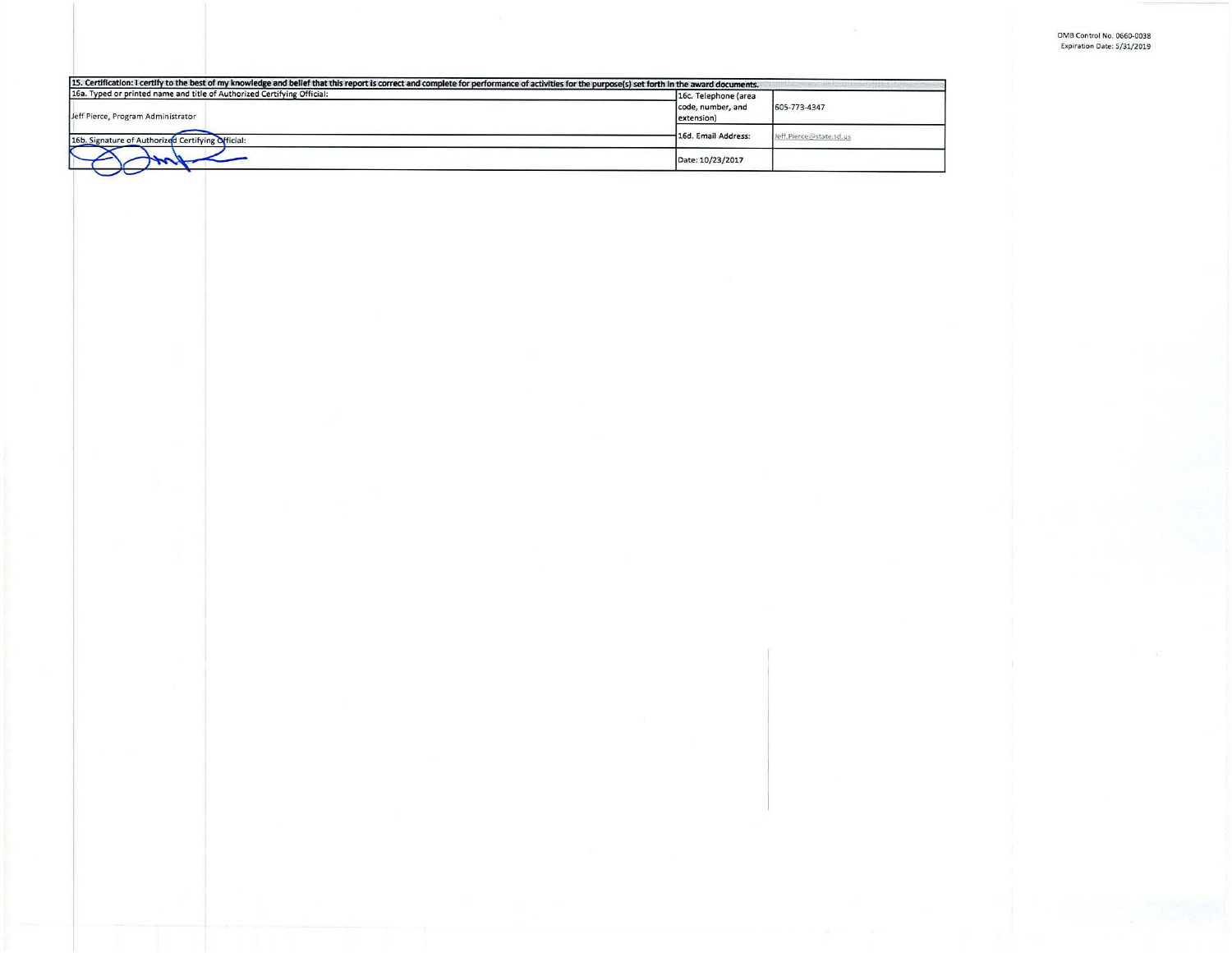| 16a. Typed or printed name and title of Authorized Certifying Official: | 16c. Telephone (area            |                         |
|-------------------------------------------------------------------------|---------------------------------|-------------------------|
| Jeff Pierce, Program Administrator                                      | code, number, and<br>extension) | 605-773-4347            |
| 16b. Signature of Authorized Certifying Official:                       | 16d. Email Address:             | Jeff.Pierce@state.sd.us |
|                                                                         | Date: 10/23/2017                |                         |